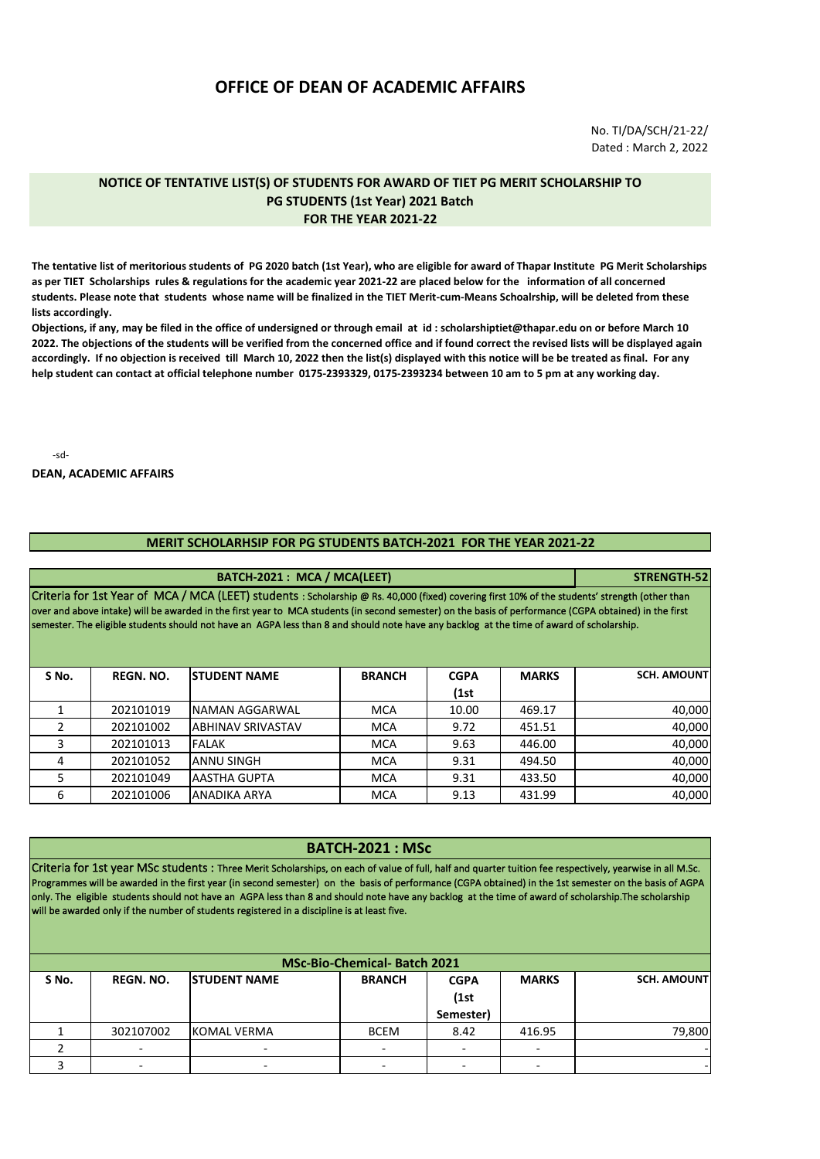## **OFFICE OF DEAN OF ACADEMIC AFFAIRS**

No. TI/DA/SCH/21-22/ Dated : March 2, 2022

## **NOTICE OF TENTATIVE LIST(S) OF STUDENTS FOR AWARD OF TIET PG MERIT SCHOLARSHIP TO PG STUDENTS (1st Year) 2021 Batch FOR THE YEAR 2021-22**

**The tentative list of meritorious students of PG 2020 batch (1st Year), who are eligible for award of Thapar Institute PG Merit Scholarships as per TIET Scholarships rules & regulations for the academic year 2021-22 are placed below for the information of all concerned students. Please note that students whose name will be finalized in the TIET Merit-cum-Means Schoalrship, will be deleted from these lists accordingly.** 

**Objections, if any, may be filed in the office of undersigned or through email at id : scholarshiptiet@thapar.edu on or before March 10 2022. The objections of the students will be verified from the concerned office and if found correct the revised lists will be displayed again accordingly. If no objection is received till March 10, 2022 then the list(s) displayed with this notice will be be treated as final. For any help student can contact at official telephone number 0175-2393329, 0175-2393234 between 10 am to 5 pm at any working day.** 

-sd-

## **DEAN, ACADEMIC AFFAIRS**

## **MERIT SCHOLARHSIP FOR PG STUDENTS BATCH-2021 FOR THE YEAR 2021-22**

| BATCH-2021: MCA / MCA(LEET)                                                                                                                                                                                                                                                                                                                                                                                                                           |                  |                          |               |             |              | STRENGTH-52        |
|-------------------------------------------------------------------------------------------------------------------------------------------------------------------------------------------------------------------------------------------------------------------------------------------------------------------------------------------------------------------------------------------------------------------------------------------------------|------------------|--------------------------|---------------|-------------|--------------|--------------------|
| Criteria for 1st Year of MCA / MCA (LEET) students : Scholarship @ Rs. 40,000 (fixed) covering first 10% of the students' strength (other than<br>over and above intake) will be awarded in the first year to MCA students (in second semester) on the basis of performance (CGPA obtained) in the first<br>semester. The eligible students should not have an AGPA less than 8 and should note have any backlog at the time of award of scholarship. |                  |                          |               |             |              |                    |
| S No.                                                                                                                                                                                                                                                                                                                                                                                                                                                 | <b>REGN. NO.</b> | <b>STUDENT NAME</b>      | <b>BRANCH</b> | <b>CGPA</b> | <b>MARKS</b> | <b>SCH. AMOUNT</b> |
|                                                                                                                                                                                                                                                                                                                                                                                                                                                       |                  |                          |               | (1st        |              |                    |
|                                                                                                                                                                                                                                                                                                                                                                                                                                                       | 202101019        | NAMAN AGGARWAL           | <b>MCA</b>    | 10.00       | 469.17       | 40,000             |
|                                                                                                                                                                                                                                                                                                                                                                                                                                                       | 202101002        | <b>ABHINAV SRIVASTAV</b> | <b>MCA</b>    | 9.72        | 451.51       | 40,000             |
| 3                                                                                                                                                                                                                                                                                                                                                                                                                                                     | 202101013        | FALAK                    | <b>MCA</b>    | 9.63        | 446.00       | 40,000             |
| 4                                                                                                                                                                                                                                                                                                                                                                                                                                                     | 202101052        | <b>ANNU SINGH</b>        | <b>MCA</b>    | 9.31        | 494.50       | 40,000             |
| 5                                                                                                                                                                                                                                                                                                                                                                                                                                                     | 202101049        | <b>AASTHA GUPTA</b>      | <b>MCA</b>    | 9.31        | 433.50       | 40,000             |
| 6                                                                                                                                                                                                                                                                                                                                                                                                                                                     | 202101006        | ANADIKA ARYA             | <b>MCA</b>    | 9.13        | 431.99       | 40,000             |

| <b>BATCH-2021: MSc</b><br>Criteria for 1st year MSc students : Three Merit Scholarships, on each of value of full, half and quarter tuition fee respectively, yearwise in all M.Sc.<br>Programmes will be awarded in the first year (in second semester) on the basis of performance (CGPA obtained) in the 1st semester on the basis of AGPA<br>only. The eligible students should not have an AGPA less than 8 and should note have any backlog at the time of award of scholarship. The scholarship<br>will be awarded only if the number of students registered in a discipline is at least five.<br><b>MSc-Bio-Chemical- Batch 2021</b> |           |                    |             |           |        |        |  |  |       |                  |                      |               |             |              |                    |
|----------------------------------------------------------------------------------------------------------------------------------------------------------------------------------------------------------------------------------------------------------------------------------------------------------------------------------------------------------------------------------------------------------------------------------------------------------------------------------------------------------------------------------------------------------------------------------------------------------------------------------------------|-----------|--------------------|-------------|-----------|--------|--------|--|--|-------|------------------|----------------------|---------------|-------------|--------------|--------------------|
|                                                                                                                                                                                                                                                                                                                                                                                                                                                                                                                                                                                                                                              |           |                    |             |           |        |        |  |  | S No. | <b>REGN. NO.</b> | <b>ISTUDENT NAME</b> | <b>BRANCH</b> | <b>CGPA</b> | <b>MARKS</b> | <b>SCH. AMOUNT</b> |
|                                                                                                                                                                                                                                                                                                                                                                                                                                                                                                                                                                                                                                              |           |                    |             |           |        |        |  |  |       |                  |                      |               | (1st)       |              |                    |
|                                                                                                                                                                                                                                                                                                                                                                                                                                                                                                                                                                                                                                              |           |                    |             | Semester) |        |        |  |  |       |                  |                      |               |             |              |                    |
|                                                                                                                                                                                                                                                                                                                                                                                                                                                                                                                                                                                                                                              | 302107002 | <b>KOMAL VERMA</b> | <b>BCEM</b> | 8.42      | 416.95 | 79,800 |  |  |       |                  |                      |               |             |              |                    |
|                                                                                                                                                                                                                                                                                                                                                                                                                                                                                                                                                                                                                                              |           |                    |             |           |        |        |  |  |       |                  |                      |               |             |              |                    |

3 | - | - - | - | - | - | - |